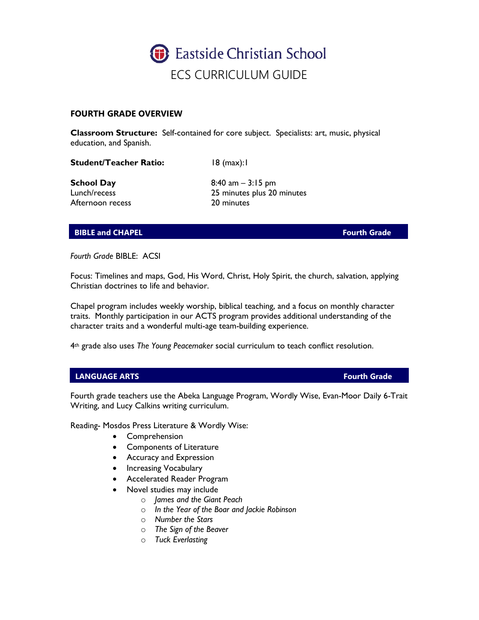

## **FOURTH GRADE OVERVIEW**

**Classroom Structure:** Self-contained for core subject. Specialists: art, music, physical education, and Spanish.

**Student/Teacher Ratio:** 18 (max):1

Afternoon recess 20 minutes

**School Day** 8:40 am – 3:15 pm Lunch/recess 25 minutes plus 20 minutes

# **BIBLE and CHAPEL Fourth Grade**

*Fourth Grade* BIBLE: ACSI

Focus: Timelines and maps, God, His Word, Christ, Holy Spirit, the church, salvation, applying Christian doctrines to life and behavior.

Chapel program includes weekly worship, biblical teaching, and a focus on monthly character traits. Monthly participation in our ACTS program provides additional understanding of the character traits and a wonderful multi-age team-building experience.

4th grade also uses *The Young Peacemaker* social curriculum to teach conflict resolution.

### **LANGUAGE ARTS Fourth Grade**

Fourth grade teachers use the Abeka Language Program, Wordly Wise, Evan-Moor Daily 6-Trait Writing, and Lucy Calkins writing curriculum.

Reading- Mosdos Press Literature & Wordly Wise:

- Comprehension
- Components of Literature
- Accuracy and Expression
- Increasing Vocabulary
- Accelerated Reader Program
- Novel studies may include
	- o *James and the Giant Peach*
	- o *In the Year of the Boar and Jackie Robinson*
	- o *Number the Stars*
	- o *The Sign of the Beaver*
	- o *Tuck Everlasting*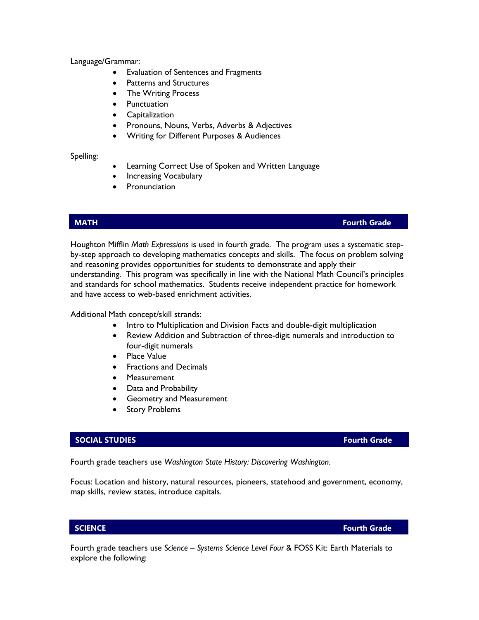Language/Grammar:

- Evaluation of Sentences and Fragments
- Patterns and Structures
- The Writing Process
- Punctuation
- Capitalization
- Pronouns, Nouns, Verbs, Adverbs & Adjectives
- Writing for Different Purposes & Audiences

Spelling:

- Learning Correct Use of Spoken and Written Language
- Increasing Vocabulary
- **Pronunciation**

## **MATH Fourth Grade**

Houghton Mifflin *Math Expressions* is used in fourth grade. The program uses a systematic stepby-step approach to developing mathematics concepts and skills. The focus on problem solving and reasoning provides opportunities for students to demonstrate and apply their understanding. This program was specifically in line with the National Math Council's principles and standards for school mathematics. Students receive independent practice for homework and have access to web-based enrichment activities.

Additional Math concept/skill strands:

- Intro to Multiplication and Division Facts and double-digit multiplication
- Review Addition and Subtraction of three-digit numerals and introduction to four-digit numerals
- Place Value
- Fractions and Decimals
- Measurement
- Data and Probability
- Geometry and Measurement
- **Story Problems**

### **SOCIAL STUDIES Fourth Grade**

Fourth grade teachers use *Washington State History: Discovering Washington*.

Focus: Location and history, natural resources, pioneers, statehood and government, economy, map skills, review states, introduce capitals.

**SCIENCE Fourth Grade**

Fourth grade teachers use *Science – Systems Science Level Four* & FOSS Kit: Earth Materials to explore the following: